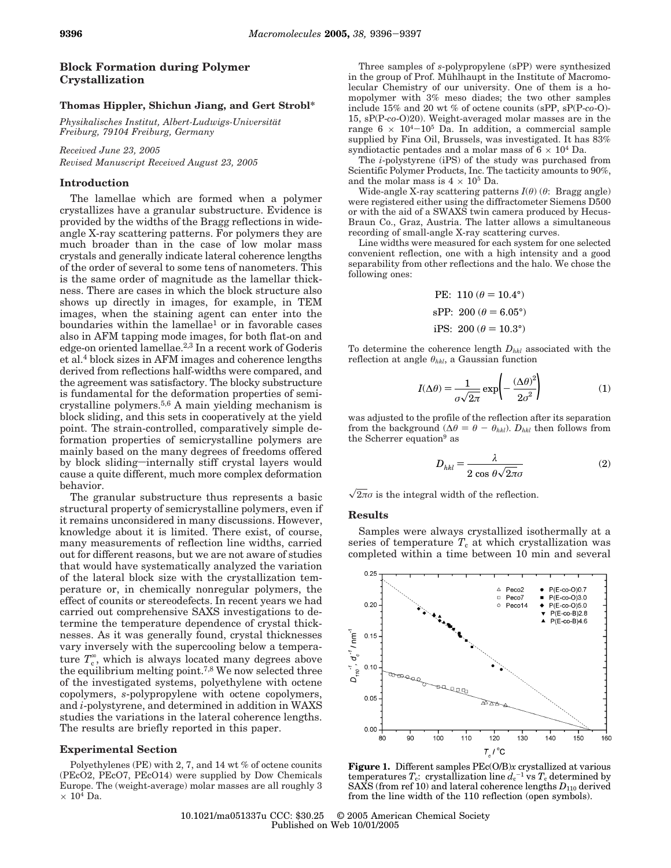# **Block Formation during Polymer Crystallization**

## **Thomas Hippler, Shichun Jiang, and Gert Strobl\***

*Physikalisches Institut, Albert-Ludwigs-Universita*¨*t Freiburg, 79104 Freiburg, Germany*

*Received June 23, 2005*

*Revised Manuscript Received August 23, 2005*

### **Introduction**

The lamellae which are formed when a polymer crystallizes have a granular substructure. Evidence is provided by the widths of the Bragg reflections in wideangle X-ray scattering patterns. For polymers they are much broader than in the case of low molar mass crystals and generally indicate lateral coherence lengths of the order of several to some tens of nanometers. This is the same order of magnitude as the lamellar thickness. There are cases in which the block structure also shows up directly in images, for example, in TEM images, when the staining agent can enter into the boundaries within the lamellae<sup>1</sup> or in favorable cases also in AFM tapping mode images, for both flat-on and edge-on oriented lamellae.<sup>2,3</sup> In a recent work of Goderis et al.4 block sizes in AFM images and coherence lengths derived from reflections half-widths were compared, and the agreement was satisfactory. The blocky substructure is fundamental for the deformation properties of semicrystalline polymers.5,6 A main yielding mechanism is block sliding, and this sets in cooperatively at the yield point. The strain-controlled, comparatively simple deformation properties of semicrystalline polymers are mainly based on the many degrees of freedoms offered by block sliding-internally stiff crystal layers would cause a quite different, much more complex deformation behavior.

The granular substructure thus represents a basic structural property of semicrystalline polymers, even if it remains unconsidered in many discussions. However, knowledge about it is limited. There exist, of course, many measurements of reflection line widths, carried out for different reasons, but we are not aware of studies that would have systematically analyzed the variation of the lateral block size with the crystallization temperature or, in chemically nonregular polymers, the effect of counits or stereodefects. In recent years we had carried out comprehensive SAXS investigations to determine the temperature dependence of crystal thicknesses. As it was generally found, crystal thicknesses vary inversely with the supercooling below a temperature  $T_c^{\circ}$ , which is always located many degrees above the equilibrium melting point.7,8 We now selected three of the investigated systems, polyethylene with octene copolymers, *s*-polypropylene with octene copolymers, and *i*-polystyrene, and determined in addition in WAXS studies the variations in the lateral coherence lengths. The results are briefly reported in this paper.

#### **Experimental Section**

Polyethylenes (PE) with 2, 7, and 14 wt % of octene counits (PEcO2, PEcO7, PEcO14) were supplied by Dow Chemicals Europe. The (weight-average) molar masses are all roughly 3  $\times$  10<sup>4</sup> Da.

Three samples of *s*-polypropylene (sPP) were synthesized in the group of Prof. Mühlhaupt in the Institute of Macromolecular Chemistry of our university. One of them is a homopolymer with 3% meso diades; the two other samples include 15% and 20 wt % of octene counits (sPP, sP(P-*co*-O)- 15, sP(P-*co*-O)20). Weight-averaged molar masses are in the range  $6 \times 10^{4}-10^{5}$  Da. In addition, a commercial sample supplied by Fina Oil, Brussels, was investigated. It has 83% syndiotactic pentades and a molar mass of  $6 \times 10^4$  Da.

The *i*-polystyrene (iPS) of the study was purchased from Scientific Polymer Products, Inc. The tacticity amounts to 90%, and the molar mass is  $4 \times 10^5$  Da.

Wide-angle X-ray scattering patterns *I*(*θ*) (*θ*: Bragg angle) were registered either using the diffractometer Siemens D500 or with the aid of a SWAXS twin camera produced by Hecus-Braun Co., Graz, Austria. The latter allows a simultaneous recording of small-angle X-ray scattering curves.

Line widths were measured for each system for one selected convenient reflection, one with a high intensity and a good separability from other reflections and the halo. We chose the following ones:

PE: 110 (
$$
\theta
$$
 = 10.4°)  
sPP: 200 ( $\theta$  = 6.05°)  
iPS: 200 ( $\theta$  = 10.3°)

To determine the coherence length *Dhkl* associated with the reflection at angle *θhkl*, a Gaussian function

$$
I(\Delta \theta) = \frac{1}{\sigma \sqrt{2\pi}} \exp\left(-\frac{(\Delta \theta)^2}{2\sigma^2}\right) \tag{1}
$$

was adjusted to the profile of the reflection after its separation from the background ( $\Delta\theta = \theta - \theta_{hkl}$ ).  $D_{hkl}$  then follows from the Scherrer equation<sup>9</sup> as

$$
D_{hkl} = \frac{\lambda}{2 \cos \theta \sqrt{2\pi}\sigma} \tag{2}
$$

 $\sqrt{2\pi}\sigma$  is the integral width of the reflection.

### **Results**

Samples were always crystallized isothermally at a series of temperature  $T_c$  at which crystallization was completed within a time between 10 min and several



**Figure 1.** Different samples PEc(O/B)*x* crystallized at various  $\epsilon$  temperatures  $T_c$ : crystallization line  $d_c^{-1}$  vs  $T_c$  determined by SAXS (from ref 10) and lateral coherence lengths  $D_{110}$  derived from the line width of the 110 reflection (open symbols).

10.1021/ma051337u CCC: \$30.25 © 2005 American Chemical Society Published on Web 10/01/2005